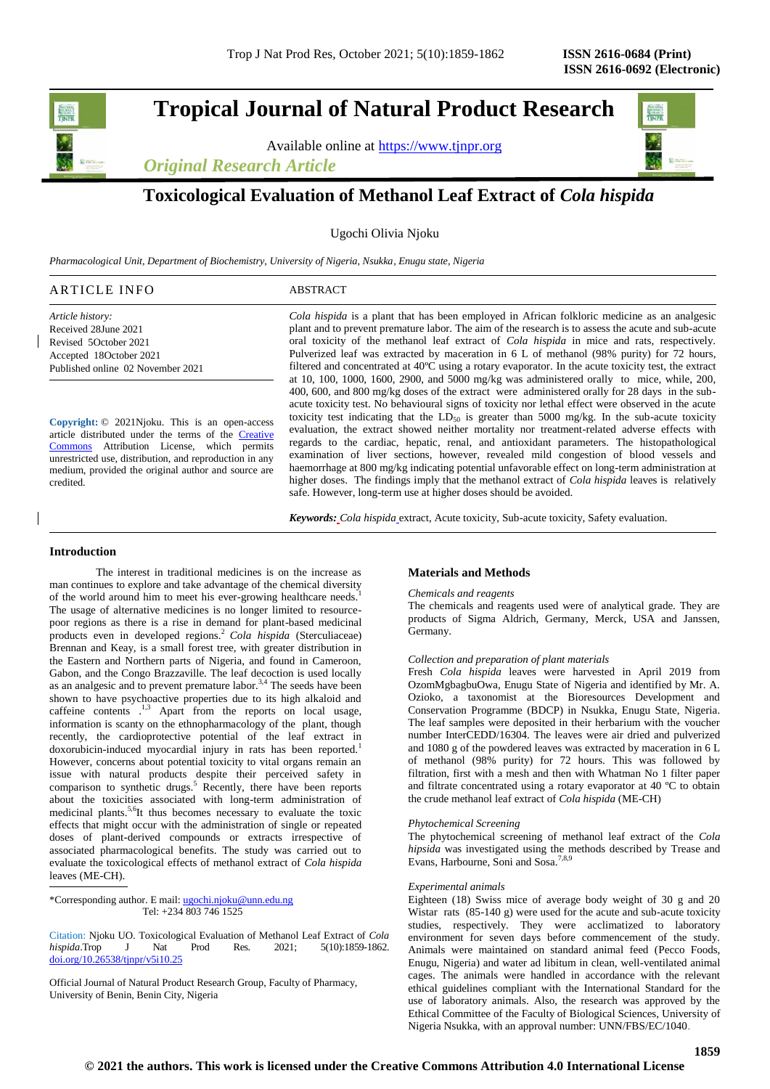**Tropical Journal of Natural Product Research**

Available online at [https://www.tjnpr.org](https://www.tjnpr.org/)

*Original Research Article*



# **Toxicological Evaluation of Methanol Leaf Extract of** *Cola hispida*

Ugochi Olivia Njoku

*Pharmacological Unit, Department of Biochemistry, University of Nigeria, Nsukka, Enugu state, Nigeria*

#### ARTICLE INFO ABSTRACT

*Article history:* Received 28June 2021 Revised 5October 2021 Accepted 18October 2021 Published online 02 November 2021

**Copyright:** © 2021Njoku. This is an open-access article distributed under the terms of the [Creative](https://creativecommons.org/licenses/by/4.0/)  [Commons](https://creativecommons.org/licenses/by/4.0/) Attribution License, which permits unrestricted use, distribution, and reproduction in any medium, provided the original author and source are credited.

*Cola hispida* is a plant that has been employed in African folkloric medicine as an analgesic plant and to prevent premature labor. The aim of the research is to assess the acute and sub-acute oral toxicity of the methanol leaf extract of *Cola hispida* in mice and rats, respectively. Pulverized leaf was extracted by maceration in 6 L of methanol (98% purity) for 72 hours, filtered and concentrated at 40ºC using a rotary evaporator. In the acute toxicity test, the extract at 10, 100, 1000, 1600, 2900, and 5000 mg/kg was administered orally to mice, while, 200, 400, 600, and 800 mg/kg doses of the extract were administered orally for 28 days in the subacute toxicity test. No behavioural signs of toxicity nor lethal effect were observed in the acute toxicity test indicating that the  $LD_{50}$  is greater than 5000 mg/kg. In the sub-acute toxicity evaluation, the extract showed neither mortality nor treatment-related adverse effects with regards to the cardiac, hepatic, renal, and antioxidant parameters. The histopathological examination of liver sections, however, revealed mild congestion of blood vessels and haemorrhage at 800 mg/kg indicating potential unfavorable effect on long-term administration at higher doses. The findings imply that the methanol extract of *Cola hispida* leaves is relatively safe. However, long-term use at higher doses should be avoided.

*Keywords: Cola hispida* extract, Acute toxicity, Sub-acute toxicity, Safety evaluation.

#### **Introduction**

The interest in traditional medicines is on the increase as man continues to explore and take advantage of the chemical diversity of the world around him to meet his ever-growing healthcare needs.<sup>1</sup> The usage of alternative medicines is no longer limited to resourcepoor regions as there is a rise in demand for plant-based medicinal products even in developed regions.<sup>2</sup> *Cola hispida* (Sterculiaceae) Brennan and Keay, is a small forest tree, with greater distribution in the Eastern and Northern parts of Nigeria, and found in Cameroon, Gabon, and the Congo Brazzaville. The leaf decoction is used locally as an analgesic and to prevent premature labor.<sup>3,4</sup> The seeds have been shown to have psychoactive properties due to its high alkaloid and caffeine contents . 1,3 Apart from the reports on local usage, information is scanty on the ethnopharmacology of the plant, though recently, the cardioprotective potential of the leaf extract in doxorubicin-induced myocardial injury in rats has been reported.<sup>1</sup> However, concerns about potential toxicity to vital organs remain an issue with natural products despite their perceived safety in comparison to synthetic drugs.<sup>5</sup> Recently, there have been reports about the toxicities associated with long-term administration of medicinal plants.<sup>5,6</sup>It thus becomes necessary to evaluate the toxic effects that might occur with the administration of single or repeated doses of plant-derived compounds or extracts irrespective of associated pharmacological benefits. The study was carried out to evaluate the toxicological effects of methanol extract of *Cola hispida* leaves (ME-CH).

Citation: Njoku UO. Toxicological Evaluation of Methanol Leaf Extract of *Cola hispida*.Trop J Nat Prod Res. 2021; 5(10):1859-1862. [doi.org/10.26538/tjnpr/v5i10.2](http://www.doi.org/10.26538/tjnpr/v1i4.5)5

Official Journal of Natural Product Research Group, Faculty of Pharmacy, University of Benin, Benin City, Nigeria

### **Materials and Methods**

#### *Chemicals and reagents*

The chemicals and reagents used were of analytical grade. They are products of Sigma Aldrich, Germany, Merck, USA and Janssen, Germany.

#### *Collection and preparation of plant materials*

Fresh *Cola hispida* leaves were harvested in April 2019 from OzomMgbagbuOwa, Enugu State of Nigeria and identified by Mr. A. Ozioko, a taxonomist at the Bioresources Development and Conservation Programme (BDCP) in Nsukka, Enugu State, Nigeria. The leaf samples were deposited in their herbarium with the voucher number InterCEDD/16304. The leaves were air dried and pulverized and 1080 g of the powdered leaves was extracted by maceration in 6 L of methanol (98% purity) for 72 hours. This was followed by filtration, first with a mesh and then with Whatman No 1 filter paper and filtrate concentrated using a rotary evaporator at 40 ºC to obtain the crude methanol leaf extract of *Cola hispida* (ME-CH)

#### *Phytochemical Screening*

The phytochemical screening of methanol leaf extract of the *Cola hipsida* was investigated using the methods described by Trease and Evans, Harbourne, Soni and Sosa.<sup>7</sup>

#### *Experimental animals*

Eighteen (18) Swiss mice of average body weight of 30 g and 20 Wistar rats (85-140 g) were used for the acute and sub-acute toxicity studies, respectively. They were acclimatized to laboratory environment for seven days before commencement of the study. Animals were maintained on standard animal feed (Pecco Foods, Enugu, Nigeria) and water ad libitum in clean, well-ventilated animal cages. The animals were handled in accordance with the relevant ethical guidelines compliant with the International Standard for the use of laboratory animals. Also, the research was approved by the Ethical Committee of the Faculty of Biological Sciences, University of Nigeria Nsukka, with an approval number: UNN/FBS/EC/1040.

<sup>\*</sup>Corresponding author. E mail[: ugochi.njoku@unn.edu.ng](mailto:ugochi.njoku@unn.edu.ng) Tel: +234 803 746 1525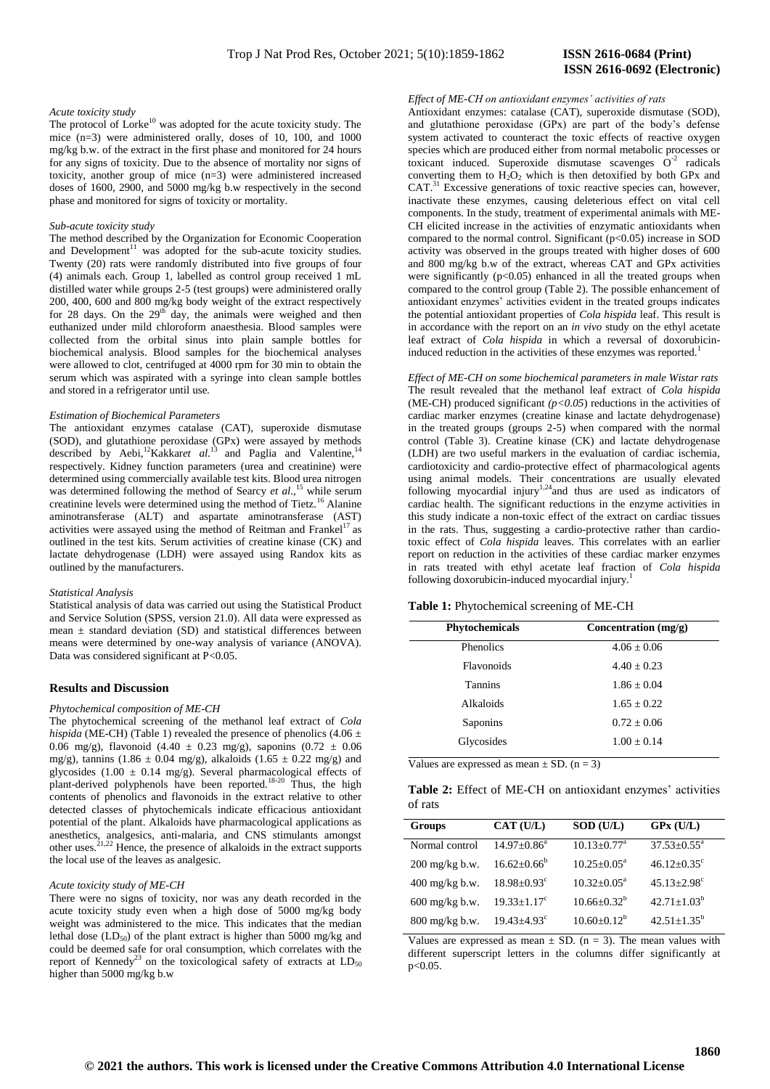# **ISSN 2616-0692 (Electronic)**

#### *Acute toxicity study*

The protocol of Lorke<sup>10</sup> was adopted for the acute toxicity study. The mice (n=3) were administered orally, doses of 10, 100, and 1000 mg/kg b.w. of the extract in the first phase and monitored for 24 hours for any signs of toxicity. Due to the absence of mortality nor signs of toxicity, another group of mice (n=3) were administered increased doses of 1600, 2900, and 5000 mg/kg b.w respectively in the second phase and monitored for signs of toxicity or mortality.

#### *Sub-acute toxicity study*

The method described by the Organization for Economic Cooperation and Development $11$  was adopted for the sub-acute toxicity studies. Twenty (20) rats were randomly distributed into five groups of four (4) animals each. Group 1, labelled as control group received 1 mL distilled water while groups 2-5 (test groups) were administered orally 200, 400, 600 and 800 mg/kg body weight of the extract respectively for 28 days. On the  $29<sup>th</sup>$  day, the animals were weighed and then euthanized under mild chloroform anaesthesia. Blood samples were collected from the orbital sinus into plain sample bottles for biochemical analysis. Blood samples for the biochemical analyses were allowed to clot, centrifuged at 4000 rpm for 30 min to obtain the serum which was aspirated with a syringe into clean sample bottles and stored in a refrigerator until use.

#### *Estimation of Biochemical Parameters*

The antioxidant enzymes catalase (CAT), superoxide dismutase (SOD), and glutathione peroxidase (GPx) were assayed by methods described by Aebi,<sup>12</sup>Kakkar*et al.*<sup>13</sup> and Paglia and Valentine,<sup>14</sup> respectively. Kidney function parameters (urea and creatinine) were determined using commercially available test kits. Blood urea nitrogen was determined following the method of Searcy *et al.*,<sup>15</sup> while serum creatinine levels were determined using the method of Tietz.<sup>16</sup> Alanine aminotransferase (ALT) and aspartate aminotransferase (AST) activities were assayed using the method of Reitman and Frankel<sup>17</sup> as outlined in the test kits. Serum activities of creatine kinase (CK) and lactate dehydrogenase (LDH) were assayed using Randox kits as outlined by the manufacturers.

#### *Statistical Analysis*

Statistical analysis of data was carried out using the Statistical Product and Service Solution (SPSS, version 21.0). All data were expressed as mean  $\pm$  standard deviation (SD) and statistical differences between means were determined by one-way analysis of variance (ANOVA). Data was considered significant at P<0.05.

#### **Results and Discussion**

#### *Phytochemical composition of ME-CH*

The phytochemical screening of the methanol leaf extract of *Cola hispida* (ME-CH) (Table 1) revealed the presence of phenolics (4.06  $\pm$ 0.06 mg/g), flavonoid (4.40 ± 0.23 mg/g), saponins (0.72 ± 0.06 mg/g), tannins (1.86  $\pm$  0.04 mg/g), alkaloids (1.65  $\pm$  0.22 mg/g) and glycosides  $(1.00 \pm 0.14 \text{ mg/g})$ . Several pharmacological effects of plant-derived polyphenols have been reported.<sup>18-20</sup> Thus, the high contents of phenolics and flavonoids in the extract relative to other detected classes of phytochemicals indicate efficacious antioxidant potential of the plant. Alkaloids have pharmacological applications as anesthetics, analgesics, anti-malaria, and CNS stimulants amongst other uses.<sup>21,22</sup> Hence, the presence of alkaloids in the extract supports the local use of the leaves as analgesic.

#### *Acute toxicity study of ME-CH*

There were no signs of toxicity, nor was any death recorded in the acute toxicity study even when a high dose of 5000 mg/kg body weight was administered to the mice. This indicates that the median lethal dose  $(LD_{50})$  of the plant extract is higher than 5000 mg/kg and could be deemed safe for oral consumption, which correlates with the report of Kennedy<sup>23</sup> on the toxicological safety of extracts at  $LD_{50}$ higher than 5000 mg/kg b.w

#### *Effect of ME-CH on antioxidant enzymes' activities of rats*

Antioxidant enzymes: catalase (CAT), superoxide dismutase (SOD), and glutathione peroxidase (GPx) are part of the body's defense system activated to counteract the toxic effects of reactive oxygen species which are produced either from normal metabolic processes or toxicant induced. Superoxide dismutase scavenges  $O<sup>-2</sup>$  radicals converting them to  $H_2O_2$  which is then detoxified by both GPx and CAT.<sup>31</sup> Excessive generations of toxic reactive species can, however, inactivate these enzymes, causing deleterious effect on vital cell components. In the study, treatment of experimental animals with ME-CH elicited increase in the activities of enzymatic antioxidants when compared to the normal control. Significant  $(p<0.05)$  increase in SOD activity was observed in the groups treated with higher doses of 600 and 800 mg/kg b.w of the extract, whereas CAT and GPx activities were significantly  $(p<0.05)$  enhanced in all the treated groups when compared to the control group (Table 2). The possible enhancement of antioxidant enzymes' activities evident in the treated groups indicates the potential antioxidant properties of *Cola hispida* leaf. This result is in accordance with the report on an *in vivo* study on the ethyl acetate leaf extract of *Cola hispida* in which a reversal of doxorubicininduced reduction in the activities of these enzymes was reported.<sup>1</sup>

*Effect of ME-CH on some biochemical parameters in male Wistar rats* The result revealed that the methanol leaf extract of *Cola hispida* (ME-CH) produced significant  $(p<0.05)$  reductions in the activities of cardiac marker enzymes (creatine kinase and lactate dehydrogenase) in the treated groups (groups 2-5) when compared with the normal control (Table 3). Creatine kinase (CK) and lactate dehydrogenase (LDH) are two useful markers in the evaluation of cardiac ischemia, cardiotoxicity and cardio-protective effect of pharmacological agents using animal models. Their concentrations are usually elevated following myocardial injury<sup>1,24</sup>and thus are used as indicators of cardiac health. The significant reductions in the enzyme activities in this study indicate a non-toxic effect of the extract on cardiac tissues in the rats. Thus, suggesting a cardio-protective rather than cardiotoxic effect of *Cola hispida* leaves. This correlates with an earlier report on reduction in the activities of these cardiac marker enzymes in rats treated with ethyl acetate leaf fraction of *Cola hispida* following doxorubicin-induced myocardial injury.<sup>1</sup>

#### **Table 1:** Phytochemical screening of ME-CH

| <b>Phytochemicals</b> | Concentration $(mg/g)$ |  |  |
|-----------------------|------------------------|--|--|
| <b>Phenolics</b>      | $4.06 + 0.06$          |  |  |
| <b>Flavonoids</b>     | $4.40 + 0.23$          |  |  |
| Tannins               | $1.86 + 0.04$          |  |  |
| Alkaloids             | $1.65 + 0.22$          |  |  |
| Saponins              | $0.72 + 0.06$          |  |  |
| Glycosides            | $1.00 + 0.14$          |  |  |

Values are expressed as mean  $\pm$  SD. (n = 3)

|         |  | Table 2: Effect of ME-CH on antioxidant enzymes' activities |  |
|---------|--|-------------------------------------------------------------|--|
| of rats |  |                                                             |  |

| <b>Groups</b>                          | CAT (U/L)                     | SOD (U/L)                     | $GPx$ (U/L)                   |
|----------------------------------------|-------------------------------|-------------------------------|-------------------------------|
| Normal control                         | $14.97 \pm 0.86^a$            | $10.13 \pm 0.77$ <sup>a</sup> | $37.53 \pm 0.55^{\text{a}}$   |
| $200$ mg/kg b.w.                       | $16.62 \pm 0.66^{\circ}$      | $10.25 \pm 0.05^{\text{a}}$   | $46.12 \pm 0.35$ <sup>c</sup> |
| $400 \frac{\text{mg}}{\text{kg}}$ b.w. | $18.98 \pm 0.93$ <sup>c</sup> | $10.32 \pm 0.05^{\text{a}}$   | $45.13 \pm 2.98$ <sup>c</sup> |
| $600$ mg/kg b.w.                       | $19.33 + 1.17^c$              | $10.66 \pm 0.32^b$            | $42.71 \pm 1.03^b$            |
| $800$ mg/kg b.w.                       | $19.43 + 4.93^{\circ}$        | $10.60 + 0.12^b$              | $42.51 \pm 1.35^b$            |

Values are expressed as mean  $\pm$  SD. (n = 3). The mean values with different superscript letters in the columns differ significantly at p<0.05.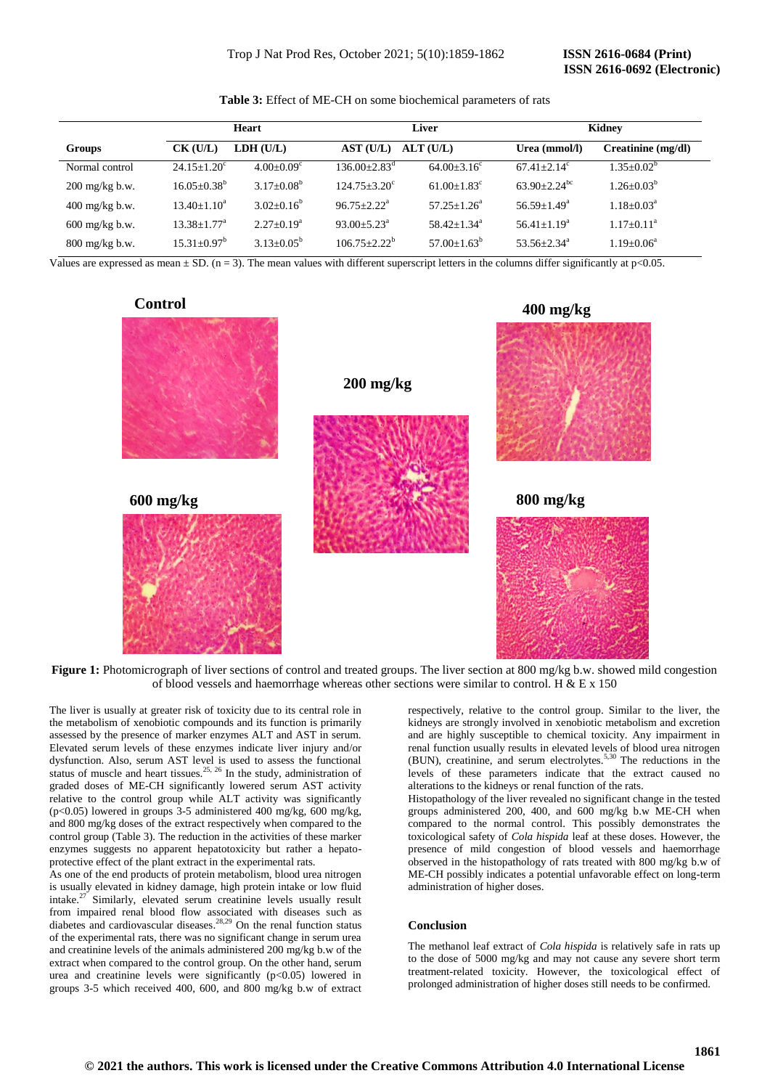# **ISSN 2616-0692 (Electronic)**

|                                        |                               | Heart               | <b>Liver</b>                   |                             | Kidney                       |                    |
|----------------------------------------|-------------------------------|---------------------|--------------------------------|-----------------------------|------------------------------|--------------------|
| Groups                                 | $CK$ (U/L)                    | LDH (U/L)           | AST (U/L)                      | ALT(U/L)                    | Urea (mmol/l)                | Creatinine (mg/dl) |
| Normal control                         | $24.15 + 1.20^{\circ}$        | $4.00+0.09^{\circ}$ | $136.00 \pm 2.83$ <sup>d</sup> | $64.00 + 3.16^{\circ}$      | $67.41 + 2.14$ <sup>c</sup>  | $1.35 \pm 0.02^b$  |
| $200 \frac{\text{mg}}{\text{kg}}$ b.w. | $16.05 \pm 0.38^{\rm b}$      | $3.17+0.08^b$       | $124.75 + 3.20^{\circ}$        | $61.00 + 1.83$ <sup>c</sup> | $63.90 + 2.24$ <sup>bc</sup> | $1.26 + 0.03^b$    |
| $400 \frac{\text{mg}}{\text{kg}}$ b.w. | $13.40 \pm 1.10^a$            | $3.02 + 0.16^b$     | $96.75 + 2.22^a$               | $57.25 + 1.26^a$            | $56.59 + 1.49^a$             | $1.18 + 0.03^a$    |
| $600 \frac{\text{mg}}{\text{kg}}$ b.w. | $13.38 \pm 1.77$ <sup>a</sup> | $2.27+0.19^a$       | $93.00 + 5.23^{\text{a}}$      | $58.42 + 1.34$ <sup>a</sup> | $56.41 + 1.19a$              | $1.17+0.11^a$      |
| $800 \frac{\text{mg}}{\text{kg}}$ b.w. | $15.31 + 0.97^b$              | $3.13+0.05^b$       | $106.75 + 2.22^b$              | $57.00 + 1.63^b$            | $53.56 + 2.34^a$             | $1.19 + 0.06^a$    |

**Table 3:** Effect of ME-CH on some biochemical parameters of rats

Values are expressed as mean  $\pm$  SD. (n = 3). The mean values with different superscript letters in the columns differ significantly at p<0.05.

## **Control**



**Figure 1:** Photomicrograph of liver sections of control and treated groups. The liver section at 800 mg/kg b.w. showed mild congestion of blood vessels and haemorrhage whereas other sections were similar to control. H & E x 150

The liver is usually at greater risk of toxicity due to its central role in the metabolism of xenobiotic compounds and its function is primarily assessed by the presence of marker enzymes ALT and AST in serum. Elevated serum levels of these enzymes indicate liver injury and/or dysfunction. Also, serum AST level is used to assess the functional status of muscle and heart tissues.<sup>25, 26</sup> In the study, administration of graded doses of ME-CH significantly lowered serum AST activity relative to the control group while ALT activity was significantly (p<0.05) lowered in groups  $3-5$  administered 400 mg/kg, 600 mg/kg, and 800 mg/kg doses of the extract respectively when compared to the control group (Table 3). The reduction in the activities of these marker enzymes suggests no apparent hepatotoxicity but rather a hepatoprotective effect of the plant extract in the experimental rats.

As one of the end products of protein metabolism, blood urea nitrogen is usually elevated in kidney damage, high protein intake or low fluid intake.<sup>27</sup> Similarly, elevated serum creatinine levels usually result from impaired renal blood flow associated with diseases such as diabetes and cardiovascular diseases. 28,29 On the renal function status of the experimental rats, there was no significant change in serum urea and creatinine levels of the animals administered 200 mg/kg b.w of the extract when compared to the control group. On the other hand, serum urea and creatinine levels were significantly  $(p<0.05)$  lowered in groups 3-5 which received 400, 600, and 800 mg/kg b.w of extract respectively, relative to the control group. Similar to the liver, the kidneys are strongly involved in xenobiotic metabolism and excretion and are highly susceptible to chemical toxicity. Any impairment in renal function usually results in elevated levels of blood urea nitrogen (BUN), creatinine, and serum electrolytes.5,30 The reductions in the levels of these parameters indicate that the extract caused no alterations to the kidneys or renal function of the rats.

**400 mg/kg**

Histopathology of the liver revealed no significant change in the tested groups administered 200, 400, and 600 mg/kg b.w ME-CH when compared to the normal control. This possibly demonstrates the toxicological safety of *Cola hispida* leaf at these doses. However, the presence of mild congestion of blood vessels and haemorrhage observed in the histopathology of rats treated with 800 mg/kg b.w of ME-CH possibly indicates a potential unfavorable effect on long-term administration of higher doses.

### **Conclusion**

The methanol leaf extract of *Cola hispida* is relatively safe in rats up to the dose of 5000 mg/kg and may not cause any severe short term treatment-related toxicity. However, the toxicological effect of prolonged administration of higher doses still needs to be confirmed.